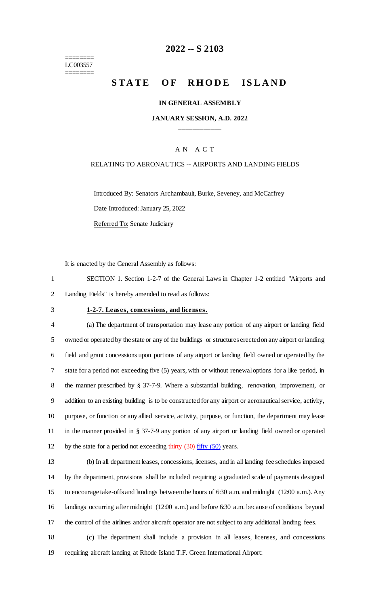======== LC003557 ========

# **2022 -- S 2103**

# **STATE OF RHODE ISLAND**

### **IN GENERAL ASSEMBLY**

### **JANUARY SESSION, A.D. 2022 \_\_\_\_\_\_\_\_\_\_\_\_**

### A N A C T

### RELATING TO AERONAUTICS -- AIRPORTS AND LANDING FIELDS

Introduced By: Senators Archambault, Burke, Seveney, and McCaffrey Date Introduced: January 25, 2022 Referred To: Senate Judiciary

It is enacted by the General Assembly as follows:

1 SECTION 1. Section 1-2-7 of the General Laws in Chapter 1-2 entitled "Airports and 2 Landing Fields" is hereby amended to read as follows:

### 3 **1-2-7. Leases, concessions, and licenses.**

 (a) The department of transportation may lease any portion of any airport or landing field owned or operated by the state or any of the buildings or structures erected on any airport or landing field and grant concessions upon portions of any airport or landing field owned or operated by the state for a period not exceeding five (5) years, with or without renewal options for a like period, in the manner prescribed by § 37-7-9. Where a substantial building, renovation, improvement, or addition to an existing building is to be constructed for any airport or aeronautical service, activity, purpose, or function or any allied service, activity, purpose, or function, the department may lease in the manner provided in § 37-7-9 any portion of any airport or landing field owned or operated 12 by the state for a period not exceeding thirty  $(30)$  fifty  $(50)$  years.

| ۰.<br>. .<br>I |  |
|----------------|--|
| ٦              |  |
|                |  |

 (b) In all department leases, concessions, licenses, and in all landing fee schedules imposed by the department, provisions shall be included requiring a graduated scale of payments designed to encourage take-offs and landings between the hours of 6:30 a.m. and midnight (12:00 a.m.). Any landings occurring after midnight (12:00 a.m.) and before 6:30 a.m. because of conditions beyond the control of the airlines and/or aircraft operator are not subject to any additional landing fees.

18 (c) The department shall include a provision in all leases, licenses, and concessions 19 requiring aircraft landing at Rhode Island T.F. Green International Airport: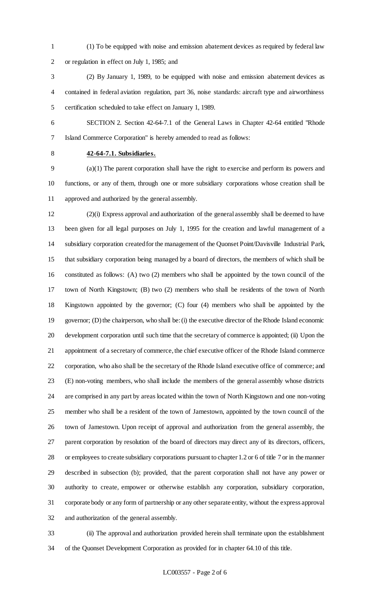(1) To be equipped with noise and emission abatement devices as required by federal law or regulation in effect on July 1, 1985; and

 (2) By January 1, 1989, to be equipped with noise and emission abatement devices as contained in federal aviation regulation, part 36, noise standards: aircraft type and airworthiness certification scheduled to take effect on January 1, 1989.

 SECTION 2. Section 42-64-7.1 of the General Laws in Chapter 42-64 entitled "Rhode Island Commerce Corporation" is hereby amended to read as follows:

# **42-64-7.1. Subsidiaries.**

 (a)(1) The parent corporation shall have the right to exercise and perform its powers and functions, or any of them, through one or more subsidiary corporations whose creation shall be approved and authorized by the general assembly.

 (2)(i) Express approval and authorization of the general assembly shall be deemed to have been given for all legal purposes on July 1, 1995 for the creation and lawful management of a subsidiary corporation created for the management of the Quonset Point/Davisville Industrial Park, that subsidiary corporation being managed by a board of directors, the members of which shall be constituted as follows: (A) two (2) members who shall be appointed by the town council of the town of North Kingstown; (B) two (2) members who shall be residents of the town of North Kingstown appointed by the governor; (C) four (4) members who shall be appointed by the governor; (D) the chairperson, who shall be: (i) the executive director of the Rhode Island economic development corporation until such time that the secretary of commerce is appointed; (ii) Upon the appointment of a secretary of commerce, the chief executive officer of the Rhode Island commerce corporation, who also shall be the secretary of the Rhode Island executive office of commerce; and (E) non-voting members, who shall include the members of the general assembly whose districts are comprised in any part by areas located within the town of North Kingstown and one non-voting member who shall be a resident of the town of Jamestown, appointed by the town council of the town of Jamestown. Upon receipt of approval and authorization from the general assembly, the parent corporation by resolution of the board of directors may direct any of its directors, officers, or employees to create subsidiary corporations pursuant to chapter 1.2 or 6 of title 7 or in the manner described in subsection (b); provided, that the parent corporation shall not have any power or authority to create, empower or otherwise establish any corporation, subsidiary corporation, corporate body or any form of partnership or any other separate entity, without the express approval and authorization of the general assembly.

 (ii) The approval and authorization provided herein shall terminate upon the establishment of the Quonset Development Corporation as provided for in chapter 64.10 of this title.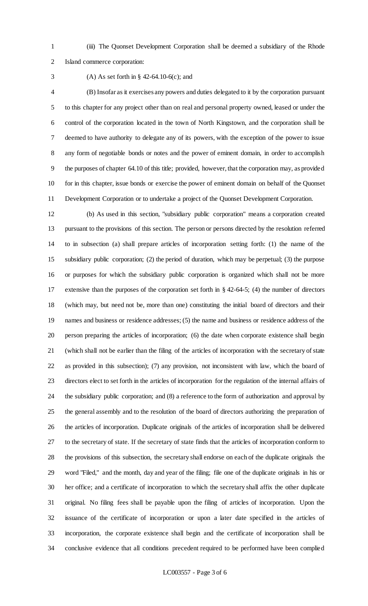(iii) The Quonset Development Corporation shall be deemed a subsidiary of the Rhode Island commerce corporation:

### (A) As set forth in § 42-64.10-6(c); and

 (B) Insofar as it exercises any powers and duties delegated to it by the corporation pursuant to this chapter for any project other than on real and personal property owned, leased or under the control of the corporation located in the town of North Kingstown, and the corporation shall be deemed to have authority to delegate any of its powers, with the exception of the power to issue any form of negotiable bonds or notes and the power of eminent domain, in order to accomplish the purposes of chapter 64.10 of this title; provided, however, that the corporation may, as provided for in this chapter, issue bonds or exercise the power of eminent domain on behalf of the Quonset Development Corporation or to undertake a project of the Quonset Development Corporation.

 (b) As used in this section, "subsidiary public corporation" means a corporation created pursuant to the provisions of this section. The person or persons directed by the resolution referred to in subsection (a) shall prepare articles of incorporation setting forth: (1) the name of the subsidiary public corporation; (2) the period of duration, which may be perpetual; (3) the purpose or purposes for which the subsidiary public corporation is organized which shall not be more extensive than the purposes of the corporation set forth in § 42-64-5; (4) the number of directors (which may, but need not be, more than one) constituting the initial board of directors and their names and business or residence addresses; (5) the name and business or residence address of the person preparing the articles of incorporation; (6) the date when corporate existence shall begin (which shall not be earlier than the filing of the articles of incorporation with the secretary of state as provided in this subsection); (7) any provision, not inconsistent with law, which the board of directors elect to set forth in the articles of incorporation for the regulation of the internal affairs of the subsidiary public corporation; and (8) a reference to the form of authorization and approval by the general assembly and to the resolution of the board of directors authorizing the preparation of the articles of incorporation. Duplicate originals of the articles of incorporation shall be delivered to the secretary of state. If the secretary of state finds that the articles of incorporation conform to the provisions of this subsection, the secretary shall endorse on each of the duplicate originals the word "Filed," and the month, day and year of the filing; file one of the duplicate originals in his or her office; and a certificate of incorporation to which the secretary shall affix the other duplicate original. No filing fees shall be payable upon the filing of articles of incorporation. Upon the issuance of the certificate of incorporation or upon a later date specified in the articles of incorporation, the corporate existence shall begin and the certificate of incorporation shall be conclusive evidence that all conditions precedent required to be performed have been complied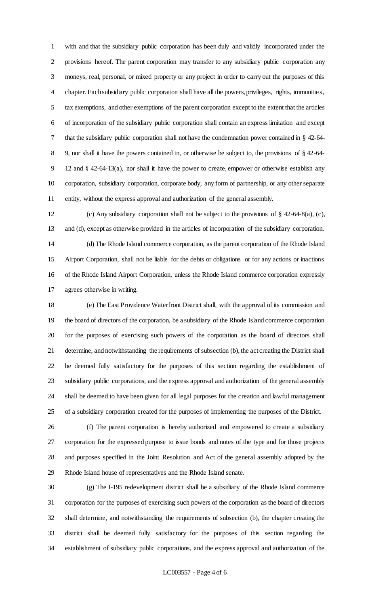with and that the subsidiary public corporation has been duly and validly incorporated under the provisions hereof. The parent corporation may transfer to any subsidiary public corporation any moneys, real, personal, or mixed property or any project in order to carry out the purposes of this chapter. Each subsidiary public corporation shall have all the powers, privileges, rights, immunities, tax exemptions, and other exemptions of the parent corporation except to the extent that the articles of incorporation of the subsidiary public corporation shall contain an express limitation and except that the subsidiary public corporation shall not have the condemnation power contained in § 42-64- 9, nor shall it have the powers contained in, or otherwise be subject to, the provisions of § 42-64- 12 and § 42-64-13(a), nor shall it have the power to create, empower or otherwise establish any corporation, subsidiary corporation, corporate body, any form of partnership, or any other separate entity, without the express approval and authorization of the general assembly.

 (c) Any subsidiary corporation shall not be subject to the provisions of § 42-64-8(a), (c), and (d), except as otherwise provided in the articles of incorporation of the subsidiary corporation. (d) The Rhode Island commerce corporation, as the parent corporation of the Rhode Island Airport Corporation, shall not be liable for the debts or obligations or for any actions or inactions of the Rhode Island Airport Corporation, unless the Rhode Island commerce corporation expressly agrees otherwise in writing.

 (e) The East Providence Waterfront District shall, with the approval of its commission and the board of directors of the corporation, be a subsidiary of the Rhode Island commerce corporation for the purposes of exercising such powers of the corporation as the board of directors shall determine, and notwithstanding the requirements of subsection (b), the act creating the District shall be deemed fully satisfactory for the purposes of this section regarding the establishment of subsidiary public corporations, and the express approval and authorization of the general assembly shall be deemed to have been given for all legal purposes for the creation and lawful management of a subsidiary corporation created for the purposes of implementing the purposes of the District.

 (f) The parent corporation is hereby authorized and empowered to create a subsidiary corporation for the expressed purpose to issue bonds and notes of the type and for those projects and purposes specified in the Joint Resolution and Act of the general assembly adopted by the Rhode Island house of representatives and the Rhode Island senate.

 (g) The I-195 redevelopment district shall be a subsidiary of the Rhode Island commerce corporation for the purposes of exercising such powers of the corporation as the board of directors shall determine, and notwithstanding the requirements of subsection (b), the chapter creating the district shall be deemed fully satisfactory for the purposes of this section regarding the establishment of subsidiary public corporations, and the express approval and authorization of the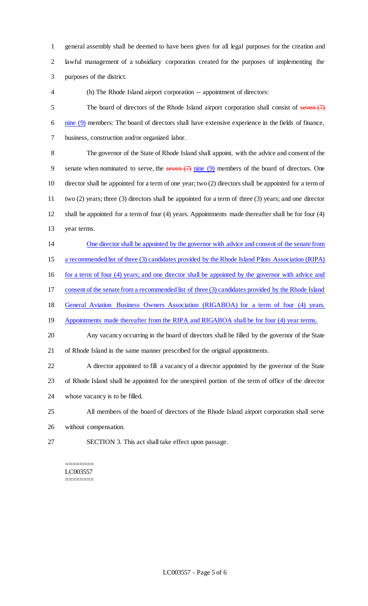general assembly shall be deemed to have been given for all legal purposes for the creation and lawful management of a subsidiary corporation created for the purposes of implementing the purposes of the district.

(h) The Rhode Island airport corporation -- appointment of directors:

5 The board of directors of the Rhode Island airport corporation shall consist of seven (7) 6 nine (9) members: The board of directors shall have extensive experience in the fields of finance, business, construction and/or organized labor.

 The governor of the State of Rhode Island shall appoint, with the advice and consent of the 9 senate when nominated to serve, the seven  $(7)$  nine  $(9)$  members of the board of directors. One director shall be appointed for a term of one year; two (2) directors shall be appointed for a term of two (2) years; three (3) directors shall be appointed for a term of three (3) years; and one director shall be appointed for a term of four (4) years. Appointments made thereafter shall be for four (4) year terms.

One director shall be appointed by the governor with advice and consent of the senate from

a recommended list of three (3) candidates provided by the Rhode Island Pilots Association (RIPA)

16 for a term of four (4) years; and one director shall be appointed by the governor with advice and

consent of the senate from a recommended list of three (3) candidates provided by the Rhode Island

General Aviation Business Owners Association (RIGABOA) for a term of four (4) years.

19 Appointments made thereafter from the RIPA and RIGABOA shall be for four (4) year terms.

 Any vacancy occurring in the board of directors shall be filled by the governor of the State of Rhode Island in the same manner prescribed for the original appointments.

 A director appointed to fill a vacancy of a director appointed by the governor of the State of Rhode Island shall be appointed for the unexpired portion of the term of office of the director whose vacancy is to be filled.

All members of the board of directors of the Rhode Island airport corporation shall serve

without compensation.

SECTION 3. This act shall take effect upon passage.

======== LC003557 ========